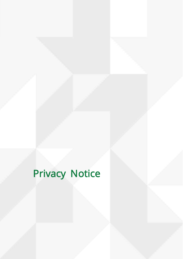# Privacy Notice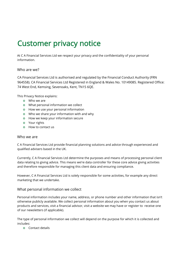# Customer privacy notice

At C A Financial Services Ltd we respect your privacy and the confidentiality of your personal information.

# Who are we?

CA Financial Services Ltd is authorised and regulated by the Financial Conduct Authority (FRN 964558). CA Financial Services Ltd Registered in England & Wales No. 10149085. Registered Office: 74 West End, Kemsing, Sevenoaks, Kent, TN15 6QE.

This Privacy Notice explains:

- Who we are
- What personal information we collect
- **o** How we use your personal information
- o Who we share your information with and why
- **o** How we keep your information secure
- Your rights
- **o** How to contact us

#### Who we are

C A Financial Services Ltd provide financial planning solutions and advice through experienced and qualified advisers based in the UK.

Currently, C A Financial Services Ltd determine the purposes and means of processing personal client data relating to giving advice. This means we're data controller for these core advice giving activities and therefore responsible for managing this client data and ensuring compliance.

However, C A Financial Services Ltd is solely responsible for some activities, for example any direct marketing that we undertake.

# What personal information we collect

Personal information includes your name, address, or phone number and other information that isn't otherwise publicly available. We collect personal information about you when you contact us about products and services, visit a financial advisor, visit a website we may have or register to receive one of our newsletters (if applicable).

The type of personal information we collect will depend on the purpose for which it is collected and includes:

Contact details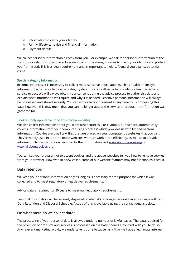- **o** Information to verify your identity
- Family, lifestyle, health and financial information
- **o** Payment details

We collect personal information directly from you. For example, we ask for personal information at the start of our relationship and in subsequent communications, in order to check your identity and protect you from fraud. This is a legal requirement and is important to help safeguard you against potential crime.

#### Special category information

In some instances, it is necessary to collect more sensitive information (such as health or lifestyle information) which is called special category data. This is to allow us to provide our financial advice service to you. We will always obtain your consent during the advice process to gather this data and explain what information we require and why it is needed. Sensitive personal information will always be processed and stored securely. You can withdraw your consent at any time to us processing this data, however, this may mean that you can no longer access the service or product the information was gathered for.

#### Cookies [only applicable if the firm have a website]

We also collect information about you from other sources. For example, our website automatically collects information from your computer using "cookies" which provides us with limited personal information. Cookies are small text files that are placed on your computer by websites that you visit. They're widely used in order to make websites work, or work more efficiently, as well as to provide information to the website owners. For further information visit [www.aboutcookies.org](http://www.aboutcookies.org/) or [www.allaboutcookies.org.](http://www.allaboutcookies.org/) 

You can set your browser not to accept cookies and the above websites tell you how to remove cookies from your browser. However, in a few cases, some of our website features may not function as a result.

#### Data retention

We keep your personal information only as long as is necessary for the purpose for which it was collected and to meet regulatory or legislative requirements.

Advice data is retained for 50 years to meet our regulatory requirements.

Personal information will be securely disposed of when it's no longer required, in accordance with our Data Retention and Disposal Schedule. A copy of this is available using the contact details below.

#### On what basis do we collect data?

The processing of your personal data is allowed under a number of lawful bases. The data required for the provision of products and services is processed on the basis there's a contract with you to do so. Any relevant marketing activity we undertake is done because, as a firm, we have a legitimate interest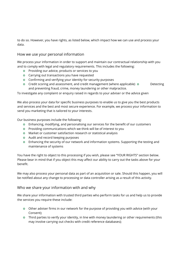to do so. However, you have rights, as listed below, which impact how we can use and process your data.

# How we use your personal information

We process your information in order to support and maintain our contractual relationship with you and to comply with legal and regulatory requirements. This includes the following:

- **o** Providing our advice, products or services to you
- **o** Carrying out transactions you have requested
- Confirming and verifying your identity for security purposes
- o Credit scoring and assessment, and credit management (where applicable) o Detecting and preventing fraud, crime, money laundering or other malpractice.

To investigate any complaint or enquiry raised in regards to your adviser or the advice given

We also process your data for specific business purposes to enable us to give you the best products and services and the best and most secure experience. For example, we process your information to send you marketing that is tailored to your interests.

Our business purposes include the following:

- Enhancing, modifying, and personalising our services for the benefit of our customers
- Providing communications which we think will be of interest to you
- Market or customer satisfaction research or statistical analysis
- **o** Audit and record keeping purposes
- Enhancing the security of our network and information systems. Supporting the testing and maintenance of systems

You have the right to object to this processing if you wish, please see "YOUR RIGHTS" section below. Please bear in mind that if you object this may affect our ability to carry out the tasks above for your benefit.

We may also process your personal data as part of an acquisition or sale. Should this happen, you will be notified about any change to processing or data controller arising as a result of this activity.

# Who we share your information with and why

We share your information with trusted third parties who perform tasks for us and help us to provide the services you require these include:

- Other adviser firms in our network for the purpose of providing you with advice (with your Consent);
- Third parties to verify your identity, in line with money laundering or other requirements (this may involve carrying out checks with credit reference databases);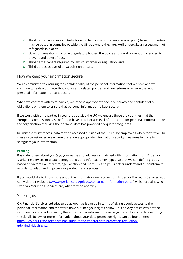- Third parties who perform tasks for us to help us set up or service your plan (these third parties may be based in countries outside the UK but where they are, we'll undertake an assessment of safeguards in place);
- Other organisations, including regulatory bodies, the police and fraud prevention agencies, to prevent and detect fraud;
- **o** Third parties where required by law, court order or regulation; and
- Third parties as part of an acquisition or sale.

# How we keep your information secure

We're committed to ensuring the confidentiality of the personal information that we hold and we continue to review our security controls and related policies and procedures to ensure that your personal information remains secure.

When we contract with third parties, we impose appropriate security, privacy and confidentiality obligations on them to ensure that personal information is kept secure.

If we work with third parties in countries outside the UK, we ensure these are countries that the European Commission has confirmed have an adequate level of protection for personal information, or the organisation receiving the personal data has provided adequate safeguards.

In limited circumstances, data may be accessed outside of the UK i.e. by employees when they travel. In these circumstances, we ensure there are appropriate information security measures in place to safeguard your information.

# Profiling

Basic identifiers about you (e.g. your name and address) is matched with information from Experian Marketing Services to create demographics and infer customer 'types' so that we can define groups based on factors like interests, age, location and more. This helps us better understand our customers in order to adapt and improve our products and services.

If you would like to know more about the information we receive from Experian Marketing Services, you can visit their website [\(www.experian.co.uk/privacy/consumer-information-portal\)](https://www.experian.co.uk/privacy/consumer-information-portal) which explains who Experian Marketing Services are, what they do and why.

# Your rights

C A Financial Services Ltd tries to be as open as it can be in terms of giving people access to their personal information and therefore have outlined your rights below. This privacy notice was drafted with brevity and clarity in mind, therefore further information can be gathered by contacting us using the details below, or more information about your data protection rights can be found here: [https://ico.org.uk/for-organisations/guide-to-the-general-data-protection-regulation](https://ico.org.uk/for-organisations/guide-to-the-general-data-protection-regulation-gdpr/individual-rights/)[gdpr/individualrights/](https://ico.org.uk/for-organisations/guide-to-the-general-data-protection-regulation-gdpr/individual-rights/)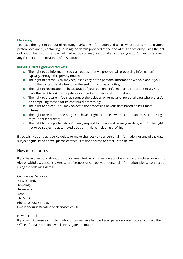#### **Marketing**

You have the right to opt out of receiving marketing information and tell us what your communication preferences are by contacting us using the details provided at the end of this notice or by using the opt out option below or on any email marketing. You may opt out at any time if you don't want to receive any further communications of this nature.

#### Individual data rights and requests

- The right to be informed You can request that we provide 'fair processing information', typically through this privacy notice;
- The right of access You may request a copy of the personal information we hold about you using the contact details found on the end of this privacy notice;
- The right to rectification The accuracy of your personal information is important to us. You have the right to ask us to update or correct your personal information;
- The right to erasure You may request the deletion or removal of personal data where there's no compelling reason for its continued processing;
- The right to object You may object to the processing of your data based on legitimate interests;
- The right to restrict processing You have a right to request we 'block' or suppress processing of your personal data;
- **o** The right to data portability You may request to obtain and reuse your data; and  $\circ$  The right not to be subject to automated decision-making including profiling.

If you wish to correct, restrict, delete or make changes to your personal information, or any of the data subject rights listed above, please contact us at the address or email listed below.

#### How to contact us

If you have questions about this notice, need further information about our privacy practices, or wish to give or withdraw consent, exercise preferences or correct your personal information, please contact us using the following details.

CA Financial Services, 74 West End, Kemsing, Sevenoaks, Kent, TN15 6QE Phone: [01732 617 950](tel:01732617950) Email: [enquiries@cafinancialservices.co.uk](mailto:enquiries@cafinancialservices.co.uk)

#### How to complain

If you wish to raise a complaint about how we have handled your personal data, you can contact The Office of Data Protection who'll investigate the matter.